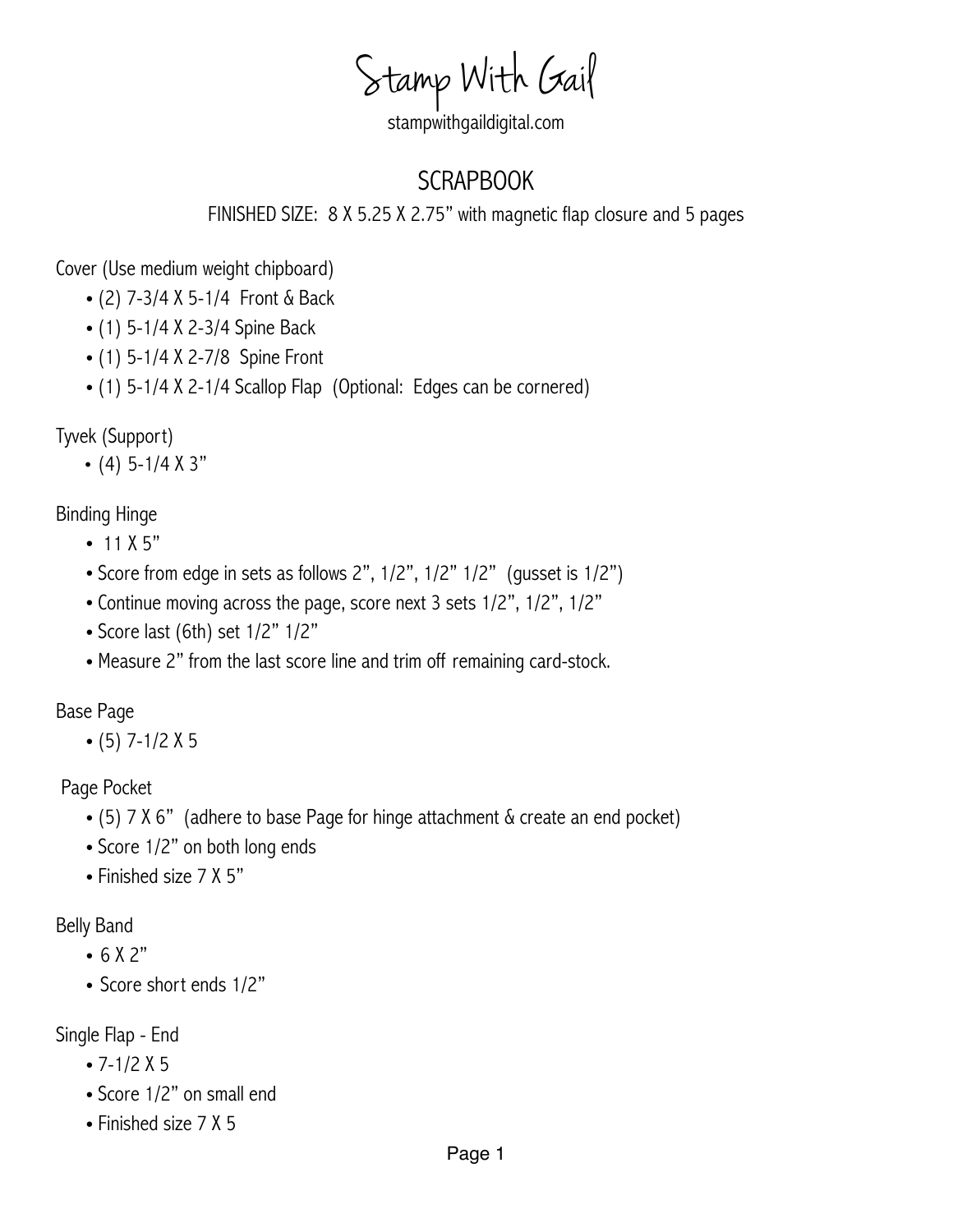Stamp With Gail

## stampwithgaildigital.com

## SCRAPBOOK

FINISHED SIZE: 8 X 5.25 X 2.75" with magnetic flap closure and 5 pages

Cover (Use medium weight chipboard)

- (2) 7-3/4 X 5-1/4 Front & Back
- (1) 5-1/4 X 2-3/4 Spine Back
- (1) 5-1/4 X 2-7/8 Spine Front
- (1) 5-1/4 X 2-1/4 Scallop Flap (Optional: Edges can be cornered)

Tyvek (Support)

• (4) 5-1/4  $X$  3"

Binding Hinge

- $11 X 5"$
- Score from edge in sets as follows 2", 1/2", 1/2" 1/2" (gusset is 1/2")
- Continue moving across the page, score next 3 sets 1/2", 1/2", 1/2"
- Score last (6th) set 1/2" 1/2"
- •Measure 2" from the last score line and trim off remaining card-stock.

Base Page

 $\bullet$  (5) 7-1/2 X 5

Page Pocket

- (5) 7 X 6" (adhere to base Page for hinge attachment & create an end pocket)
- Score 1/2" on both long ends
- Finished size 7 X 5"

Belly Band

- 6 X 2"
- Score short ends 1/2"

Single Flap - End

- $7-1/2 X 5$
- Score 1/2" on small end
- Finished size 7 X 5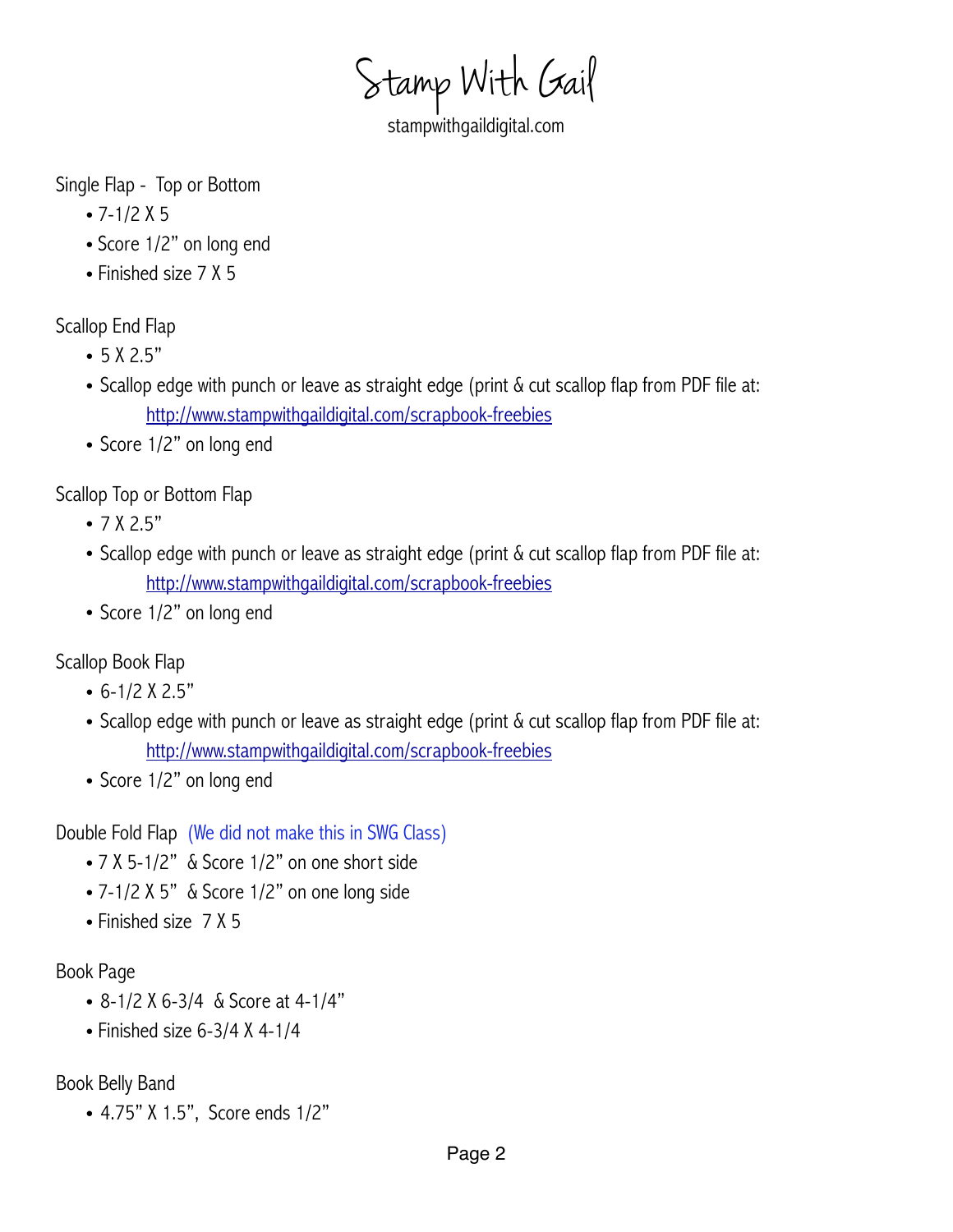Stamp With Gail

stampwithgaildigital.com

Single Flap - Top or Bottom

- $-7-1/2$  X 5
- Score 1/2" on long end
- Finished size 7 X 5

Scallop End Flap

- 5 X 2.5"
- Scallop edge with punch or leave as straight edge (print & cut scallop flap from PDF file at: <http://www.stampwithgaildigital.com/scrapbook-freebies>
- Score 1/2" on long end

Scallop Top or Bottom Flap

- 7 X 2.5"
- Scallop edge with punch or leave as straight edge (print  $\&$  cut scallop flap from PDF file at: <http://www.stampwithgaildigital.com/scrapbook-freebies>
- Score 1/2" on long end

Scallop Book Flap

- $\cdot$  6-1/2 X 2.5"
- Scallop edge with punch or leave as straight edge (print & cut scallop flap from PDF file at: <http://www.stampwithgaildigital.com/scrapbook-freebies>
- Score 1/2" on long end

Double Fold Flap (We did not make this in SWG Class)

- 7 X 5-1/2" & Score 1/2" on one short side
- 7-1/2 X 5" & Score 1/2" on one long side
- Finished size 7 X 5

## Book Page

- 8-1/2 X 6-3/4 & Score at 4-1/4"
- Finished size  $6-3/4$  X 4-1/4

Book Belly Band

• 4.75" X 1.5", Score ends 1/2"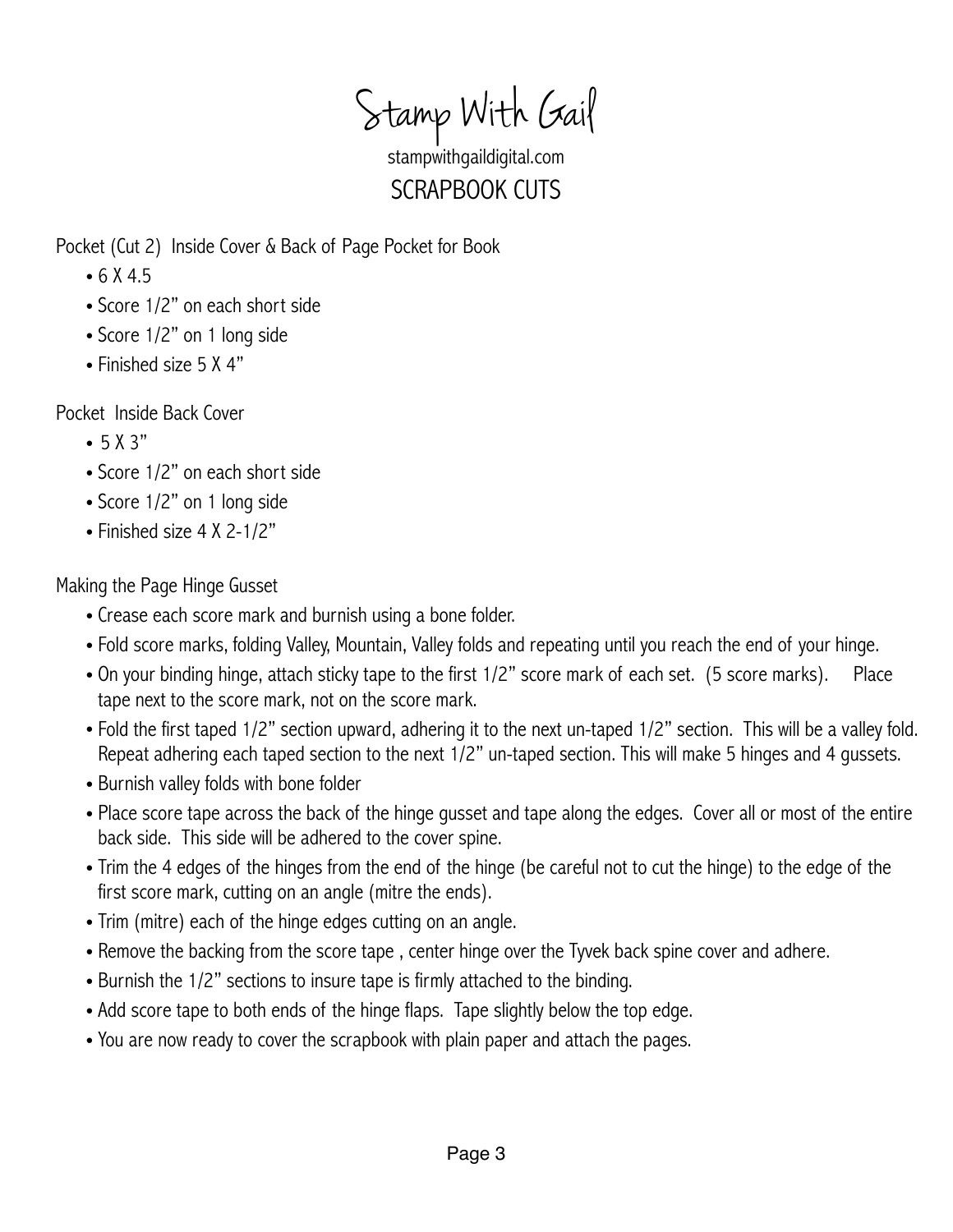Stamp With Gail

stampwithgaildigital.com SCRAPBOOK CUTS

Pocket (Cut 2) Inside Cover & Back of Page Pocket for Book

- $6 X 4.5$
- Score 1/2" on each short side
- Score 1/2" on 1 long side
- Finished size 5 X 4"

Pocket Inside Back Cover

- $-5 X 3"$
- Score 1/2" on each short side
- Score 1/2" on 1 long side
- Finished size 4 X 2-1/2"

Making the Page Hinge Gusset

- Crease each score mark and burnish using a bone folder.
- Fold score marks, folding Valley, Mountain, Valley folds and repeating until you reach the end of your hinge.
- On your binding hinge, attach sticky tape to the first 1/2" score mark of each set. (5 score marks). Place tape next to the score mark, not on the score mark.
- Fold the first taped 1/2" section upward, adhering it to the next un-taped 1/2" section. This will be a valley fold. Repeat adhering each taped section to the next 1/2" un-taped section. This will make 5 hinges and 4 gussets.
- Burnish valley folds with bone folder
- Place score tape across the back of the hinge gusset and tape along the edges. Cover all or most of the entire back side. This side will be adhered to the cover spine.
- Trim the 4 edges of the hinges from the end of the hinge (be careful not to cut the hinge) to the edge of the first score mark, cutting on an angle (mitre the ends).
- Trim (mitre) each of the hinge edges cutting on an angle.
- Remove the backing from the score tape , center hinge over the Tyvek back spine cover and adhere.
- Burnish the 1/2" sections to insure tape is firmly attached to the binding.
- Add score tape to both ends of the hinge flaps. Tape slightly below the top edge.
- You are now ready to cover the scrapbook with plain paper and attach the pages.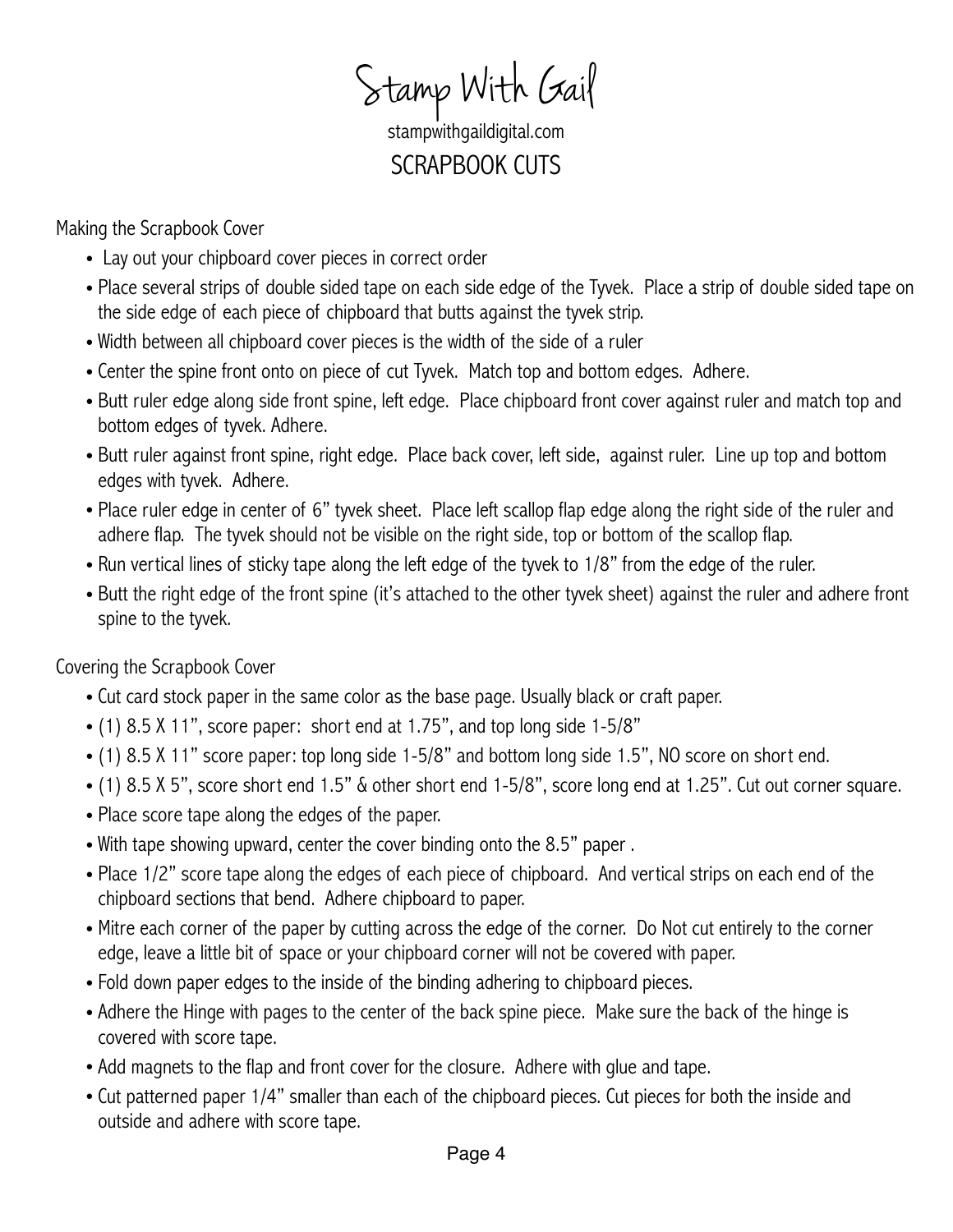Stamp With Gail

stampwithgaildigital.com SCRAPBOOK CUTS

Making the Scrapbook Cover

- Lay out your chipboard cover pieces in correct order
- Place several strips of double sided tape on each side edge of the Tyvek. Place a strip of double sided tape on the side edge of each piece of chipboard that butts against the tyvek strip.
- Width between all chipboard cover pieces is the width of the side of a ruler
- Center the spine front onto on piece of cut Tyvek. Match top and bottom edges. Adhere.
- Butt ruler edge along side front spine, left edge. Place chipboard front cover against ruler and match top and bottom edges of tyvek. Adhere.
- Butt ruler against front spine, right edge. Place back cover, left side, against ruler. Line up top and bottom edges with tyvek. Adhere.
- Place ruler edge in center of 6" tyvek sheet. Place left scallop flap edge along the right side of the ruler and adhere flap. The tyvek should not be visible on the right side, top or bottom of the scallop flap.
- Run vertical lines of sticky tape along the left edge of the tyvek to 1/8" from the edge of the ruler.
- Butt the right edge of the front spine (it's attached to the other tyvek sheet) against the ruler and adhere front spine to the tyvek.

Covering the Scrapbook Cover

- Cut card stock paper in the same color as the base page. Usually black or craft paper.
- (1) 8.5 X 11", score paper: short end at 1.75", and top long side 1-5/8"
- (1) 8.5 X 11" score paper: top long side 1-5/8" and bottom long side 1.5", NO score on short end.
- (1) 8.5 X 5", score short end 1.5" & other short end 1-5/8", score long end at 1.25". Cut out corner square.
- Place score tape along the edges of the paper.
- With tape showing upward, center the cover binding onto the 8.5" paper .
- Place 1/2" score tape along the edges of each piece of chipboard. And vertical strips on each end of the chipboard sections that bend. Adhere chipboard to paper.
- Mitre each corner of the paper by cutting across the edge of the corner. Do Not cut entirely to the corner edge, leave a little bit of space or your chipboard corner will not be covered with paper.
- Fold down paper edges to the inside of the binding adhering to chipboard pieces.
- Adhere the Hinge with pages to the center of the back spine piece. Make sure the back of the hinge is covered with score tape.
- Add magnets to the flap and front cover for the closure. Adhere with glue and tape.
- Cut patterned paper 1/4" smaller than each of the chipboard pieces. Cut pieces for both the inside and outside and adhere with score tape.